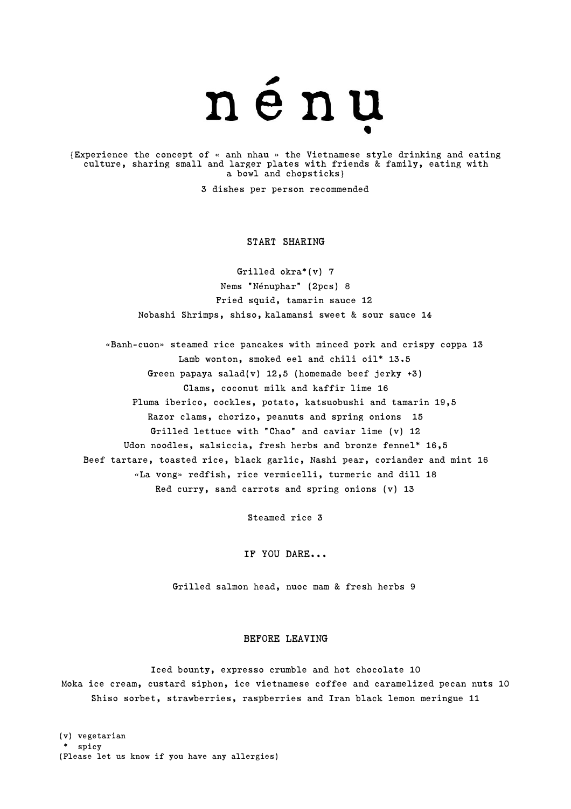

{Experience the concept of « anh nhau » the Vietnamese style drinking and eating culture, sharing small and larger plates with friends & family, eating with a bowl and chopsticks}

3 dishes per person recommended

#### START SHARING

Grilled okra\*(v) 7 Nems "Nénuphar" (2pcs) 8 Fried squid, tamarin sauce 12 Nobashi Shrimps, shiso, kalamansi sweet & sour sauce 14

«Banh-cuon» steamed rice pancakes with minced pork and crispy coppa 13 Lamb wonton, smoked eel and chili oil\* 13.5 Green papaya salad(v)  $12,5$  (homemade beef jerky  $+3$ ) Clams, coconut milk and kaffir lime 16 Pluma iberico, cockles, potato, katsuobushi and tamarin 19,5 Razor clams, chorizo, peanuts and spring onions 15 Grilled lettuce with "Chao" and caviar lime (v) 12 Udon noodles, salsiccia, fresh herbs and bronze fennel\* 16,5 Beef tartare, toasted rice, black garlic, Nashi pear, coriander and mint 16 «La vong» redfish, rice vermicelli, turmeric and dill 18 Red curry, sand carrots and spring onions (v) 13

Steamed rice 3

IF YOU DARE...

Grilled salmon head, nuoc mam & fresh herbs 9

#### BEFORE LEAVING

Iced bounty, expresso crumble and hot chocolate 10 Moka ice cream, custard siphon, ice vietnamese coffee and caramelized pecan nuts 10 Shiso sorbet, strawberries, raspberries and Iran black lemon meringue 11

(v) vegetarian \* spicy (Please let us know if you have any allergies)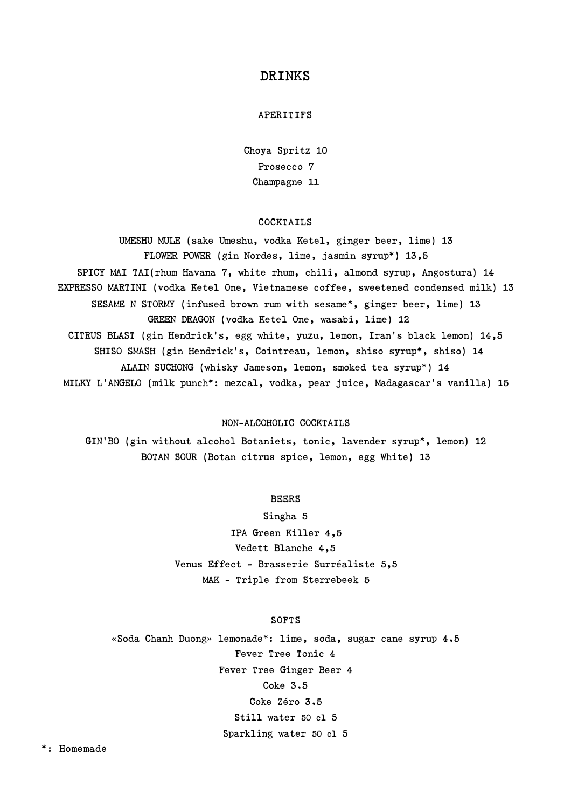# DRINKS

## APERITIFS

Choya Spritz 10 Prosecco 7 Champagne 11

#### COCKTAILS

UMESHU MULE (sake Umeshu, vodka Ketel, ginger beer, lime) 13 FLOWER POWER (gin Nordes, lime, jasmin syrup\*) 13,5 SPICY MAI TAI(rhum Havana 7, white rhum, chili, almond syrup, Angostura) 14 EXPRESSO MARTINI (vodka Ketel One, Vietnamese coffee, sweetened condensed milk) 13 SESAME N STORMY (infused brown rum with sesame\*, ginger beer, lime) 13 GREEN DRAGON (vodka Ketel One, wasabi, lime) 12 CITRUS BLAST (gin Hendrick's, egg white, yuzu, lemon, Iran's black lemon) 14,5 SHISO SMASH (gin Hendrick's, Cointreau, lemon, shiso syrup\*, shiso) 14 ALAIN SUCHONG (whisky Jameson, lemon, smoked tea syrup\*) 14 MILKY L'ANGELO (milk punch\*: mezcal, vodka, pear juice, Madagascar's vanilla) 15

#### NON-ALCOHOLIC COCKTAILS

GIN'BO (gin without alcohol Botaniets, tonic, lavender syrup\*, lemon) 12 BOTAN SOUR (Botan citrus spice, lemon, egg White) 13

## BEERS

Singha 5 IPA Green Killer 4,5 Vedett Blanche 4,5 Venus Effect - Brasserie Surréaliste 5,5 MAK – Triple from Sterrebeek 5

## SOFTS

«Soda Chanh Duong» lemonade\*: lime, soda, sugar cane syrup 4.5 Fever Tree Tonic 4 Fever Tree Ginger Beer 4 Coke 3.5 Coke Zéro 3.5 Still water 50 cl 5 Sparkling water 50 cl 5

\*: Homemade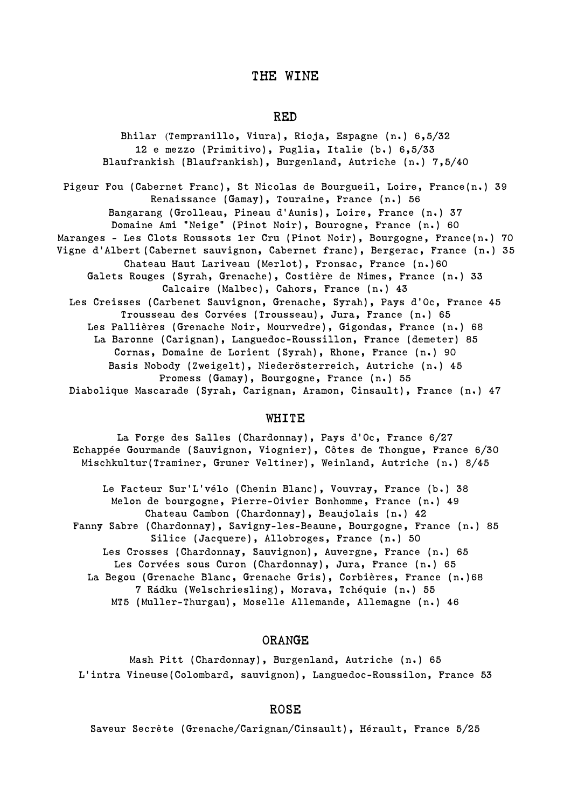## THE WINE

## RED

Bhilar (Tempranillo, Viura), Rioja, Espagne (n.) 6,5/32 12 e mezzo (Primitivo), Puglia, Italie (b.) 6,5/33 Blaufrankish (Blaufrankish), Burgenland, Autriche (n.) 7,5/40 Pigeur Fou (Cabernet Franc), St Nicolas de Bourgueil, Loire, France(n.) 39 Renaissance (Gamay), Touraine, France (n.) 56 Bangarang (Grolleau, Pineau d'Aunis), Loire, France (n.) 37 Domaine Ami "Neige" (Pinot Noir), Bourogne, France (n.) 60 Maranges - Les Clots Roussots 1er Cru (Pinot Noir), Bourgogne, France(n.) 70 Vigne d'Albert (Cabernet sauvignon, Cabernet franc), Bergerac, France (n.) 35 Chateau Haut Lariveau (Merlot), Fronsac, France (n.)60 Galets Rouges (Syrah, Grenache), Costière de Nimes, France (n.) 33 Calcaire (Malbec), Cahors, France (n.) 43 Les Creisses (Carbenet Sauvignon, Grenache, Syrah), Pays d'Oc, France 45 Trousseau des Corvées (Trousseau), Jura, France (n.) 65 Les Pallières (Grenache Noir, Mourvedre), Gigondas, France (n.) 68 La Baronne (Carignan), Languedoc-Roussillon, France (demeter) 85 Cornas, Domaine de Lorient (Syrah), Rhone, France (n.) 90 Basis Nobody (Zweigelt), Niederösterreich, Autriche (n.) 45 Promess (Gamay), Bourgogne, France (n.) 55 Diabolique Mascarade (Syrah, Carignan, Aramon, Cinsault), France (n.) 47

## WHITE

La Forge des Salles (Chardonnay), Pays d'Oc, France 6/27 Echappée Gourmande (Sauvignon, Viognier), Côtes de Thongue, France 6/30 Mischkultur(Traminer, Gruner Veltiner), Weinland, Autriche (n.) 8/45

Le Facteur Sur'L'vélo (Chenin Blanc), Vouvray, France (b.) 38 Melon de bourgogne, Pierre-Oivier Bonhomme, France (n.) 49 Chateau Cambon (Chardonnay), Beaujolais (n.) 42 Fanny Sabre (Chardonnay), Savigny-les-Beaune, Bourgogne, France (n.) 85 Silice (Jacquere), Allobroges, France (n.) 50 Les Crosses (Chardonnay, Sauvignon), Auvergne, France (n.) 65 Les Corvées sous Curon (Chardonnay), Jura, France (n.) 65 La Begou (Grenache Blanc, Grenache Gris), Corbières, France (n.)68 7 Rádku (Welschriesling), Morava, Tchéquie (n.) 55 MT5 (Muller-Thurgau), Moselle Allemande, Allemagne (n.) 46

## ORANGE

Mash Pitt (Chardonnay), Burgenland, Autriche (n.) 65 L'intra Vineuse(Colombard, sauvignon), Languedoc-Roussilon, France 53

#### ROSE

Saveur Secrète (Grenache/Carignan/Cinsault), Hérault, France 5/25